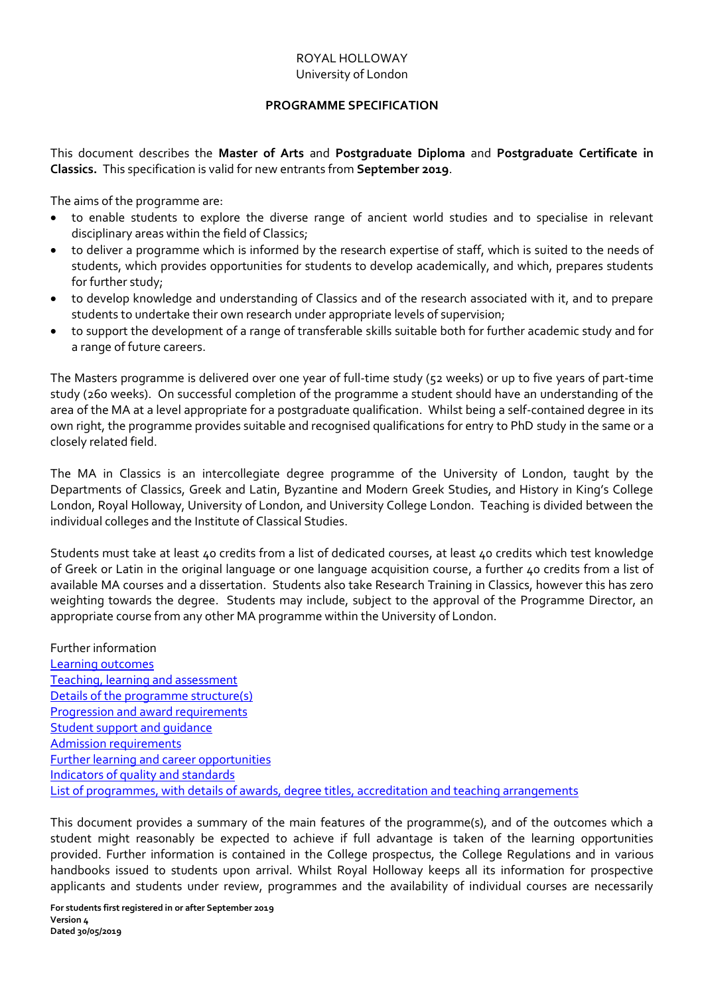## ROYAL HOLLOWAY University of London

## **PROGRAMME SPECIFICATION**

<span id="page-0-0"></span>This document describes the **Master of Arts** and **Postgraduate Diploma** and **Postgraduate Certificate in Classics.** This specification is valid for new entrants from **September 2019**.

The aims of the programme are:

- to enable students to explore the diverse range of ancient world studies and to specialise in relevant disciplinary areas within the field of Classics;
- to deliver a programme which is informed by the research expertise of staff, which is suited to the needs of students, which provides opportunities for students to develop academically, and which, prepares students for further study;
- to develop knowledge and understanding of Classics and of the research associated with it, and to prepare students to undertake their own research under appropriate levels of supervision;
- to support the development of a range of transferable skills suitable both for further academic study and for a range of future careers.

The Masters programme is delivered over one year of full-time study (52 weeks) or up to five years of part-time study (260 weeks). On successful completion of the programme a student should have an understanding of the area of the MA at a level appropriate for a postgraduate qualification. Whilst being a self-contained degree in its own right, the programme provides suitable and recognised qualifications for entry to PhD study in the same or a closely related field.

The MA in Classics is an intercollegiate degree programme of the University of London, taught by the Departments of Classics, Greek and Latin, Byzantine and Modern Greek Studies, and History in King's College London, Royal Holloway, University of London, and University College London. Teaching is divided between the individual colleges and the Institute of Classical Studies.

Students must take at least 40 credits from a list of dedicated courses, at least 40 credits which test knowledge of Greek or Latin in the original language or one language acquisition course, a further 40 credits from a list of available MA courses and a dissertation. Students also take Research Training in Classics, however this has zero weighting towards the degree. Students may include, subject to the approval of the Programme Director, an appropriate course from any other MA programme within the University of London.

Further information [Learning outcomes](#page-1-0) [Teaching, learning and assessment](#page-1-1) [Details of the programme structure\(s\)](#page-2-0) [Progression and award requirements](#page-2-1) [Student support and guidance](#page-3-0) [Admission requirements](#page-4-0) [Further learning and career opportunities](#page-4-1) [Indicators of quality and standards](#page-4-2) [List of programmes, with details of awards, degree titles, accreditation and teaching arrangements](#page-4-3)

This document provides a summary of the main features of the programme(s), and of the outcomes which a student might reasonably be expected to achieve if full advantage is taken of the learning opportunities provided. Further information is contained in the College prospectus, the College Regulations and in various handbooks issued to students upon arrival. Whilst Royal Holloway keeps all its information for prospective applicants and students under review, programmes and the availability of individual courses are necessarily

**For students first registered in or after September 2019 Version 4 Dated 30/05/2019**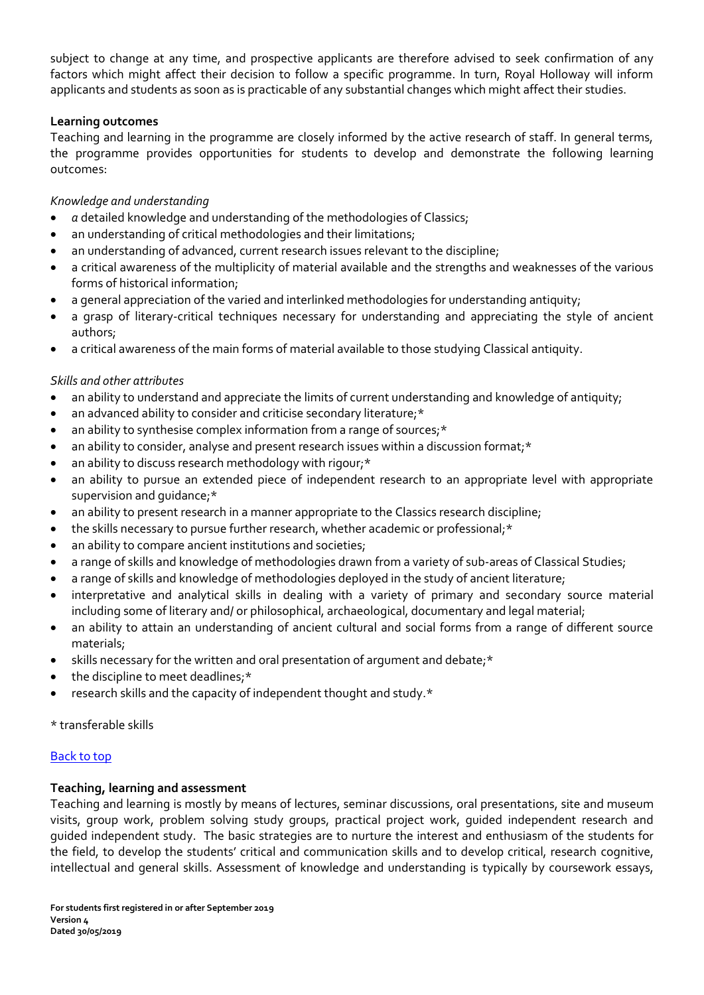subject to change at any time, and prospective applicants are therefore advised to seek confirmation of any factors which might affect their decision to follow a specific programme. In turn, Royal Holloway will inform applicants and students as soon as is practicable of any substantial changes which might affect their studies.

# <span id="page-1-0"></span>**Learning outcomes**

Teaching and learning in the programme are closely informed by the active research of staff. In general terms, the programme provides opportunities for students to develop and demonstrate the following learning outcomes:

## *Knowledge and understanding*

- *a* detailed knowledge and understanding of the methodologies of Classics;
- an understanding of critical methodologies and their limitations;
- an understanding of advanced, current research issues relevant to the discipline;
- a critical awareness of the multiplicity of material available and the strengths and weaknesses of the various forms of historical information;
- a general appreciation of the varied and interlinked methodologies for understanding antiquity;
- a grasp of literary-critical techniques necessary for understanding and appreciating the style of ancient authors;
- a critical awareness of the main forms of material available to those studying Classical antiquity.

# *Skills and other attributes*

- an ability to understand and appreciate the limits of current understanding and knowledge of antiquity;
- an advanced ability to consider and criticise secondary literature;\*
- an ability to synthesise complex information from a range of sources;\*
- an ability to consider, analyse and present research issues within a discussion format;\*
- an ability to discuss research methodology with rigour;\*
- an ability to pursue an extended piece of independent research to an appropriate level with appropriate supervision and guidance;\*
- an ability to present research in a manner appropriate to the Classics research discipline;
- the skills necessary to pursue further research, whether academic or professional;\*
- an ability to compare ancient institutions and societies;
- a range of skills and knowledge of methodologies drawn from a variety of sub-areas of Classical Studies;
- a range of skills and knowledge of methodologies deployed in the study of ancient literature;
- interpretative and analytical skills in dealing with a variety of primary and secondary source material including some of literary and/ or philosophical, archaeological, documentary and legal material;
- an ability to attain an understanding of ancient cultural and social forms from a range of different source materials;
- skills necessary for the written and oral presentation of argument and debate;\*
- the discipline to meet deadlines;\*
- research skills and the capacity of independent thought and study.\*

\* transferable skills

# [Back to top](#page-0-0)

# <span id="page-1-1"></span>**Teaching, learning and assessment**

Teaching and learning is mostly by means of lectures, seminar discussions, oral presentations, site and museum visits, group work, problem solving study groups, practical project work, guided independent research and guided independent study. The basic strategies are to nurture the interest and enthusiasm of the students for the field, to develop the students' critical and communication skills and to develop critical, research cognitive, intellectual and general skills. Assessment of knowledge and understanding is typically by coursework essays,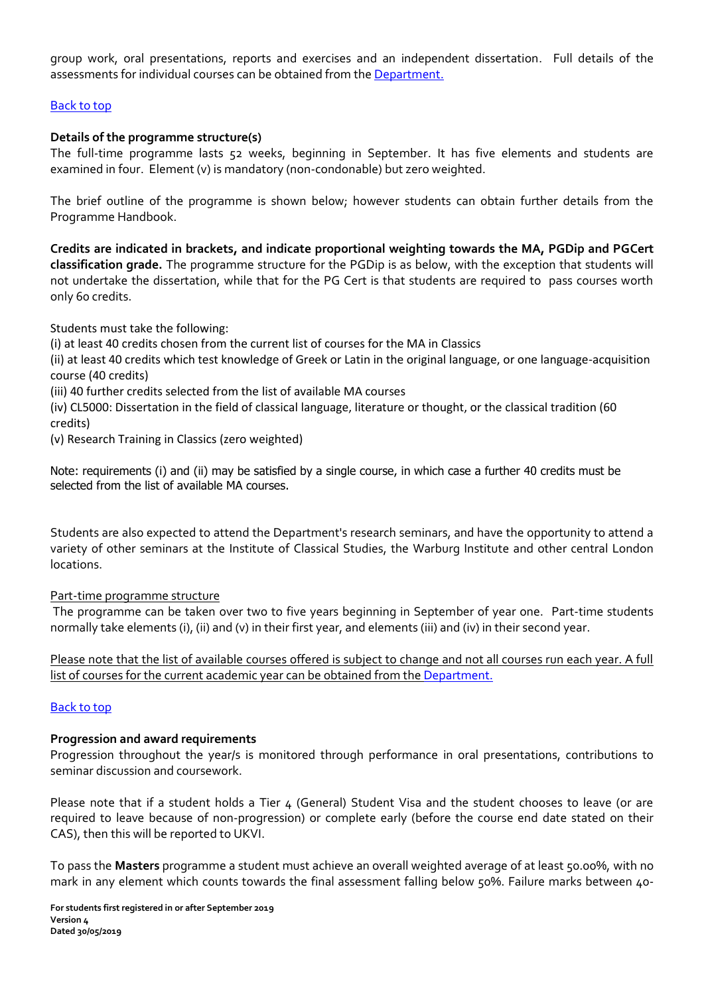group work, oral presentations, reports and exercises and an independent dissertation. Full details of the assessments for individual courses can be obtained from th[e Department.](http://www.rhul.ac.uk/Classics/)

## <span id="page-2-0"></span>[Back to top](#page-0-0)

## **Details of the programme structure(s)**

The full-time programme lasts 52 weeks, beginning in September. It has five elements and students are examined in four. Element (v) is mandatory (non-condonable) but zero weighted.

The brief outline of the programme is shown below; however students can obtain further details from the Programme Handbook.

**Credits are indicated in brackets, and indicate proportional weighting towards the MA, PGDip and PGCert classification grade.** The programme structure for the PGDip is as below, with the exception that students will not undertake the dissertation, while that for the PG Cert is that students are required to pass courses worth only 60 credits.

Students must take the following:

(i) at least 40 credits chosen from the current list of courses for the MA in Classics

(ii) at least 40 credits which test knowledge of Greek or Latin in the original language, or one language-acquisition course (40 credits)

(iii) 40 further credits selected from the list of available MA courses

(iv) CL5000: Dissertation in the field of classical language, literature or thought, or the classical tradition (60 credits)

(v) Research Training in Classics (zero weighted)

Note: requirements (i) and (ii) may be satisfied by a single course, in which case a further 40 credits must be selected from the list of available MA courses.

Students are also expected to attend the Department's research seminars, and have the opportunity to attend a variety of other seminars at the Institute of Classical Studies, the Warburg Institute and other central London locations.

#### Part-time programme structure

The programme can be taken over two to five years beginning in September of year one. Part-time students normally take elements (i), (ii) and (v) in their first year, and elements (iii) and (iv) in their second year.

Please note that the list of available courses offered is subject to change and not all courses run each year. A full list of courses for the current academic year can be obtained from th[e Department.](http://www.rhul.ac.uk/Classics/)

#### <span id="page-2-1"></span>[Back to top](#page-0-0)

#### **Progression and award requirements**

Progression throughout the year/s is monitored through performance in oral presentations, contributions to seminar discussion and coursework.

Please note that if a student holds a Tier  $4$  (General) Student Visa and the student chooses to leave (or are required to leave because of non-progression) or complete early (before the course end date stated on their CAS), then this will be reported to UKVI.

To pass the **Masters** programme a student must achieve an overall weighted average of at least 50.00%, with no mark in any element which counts towards the final assessment falling below 50%. Failure marks between 40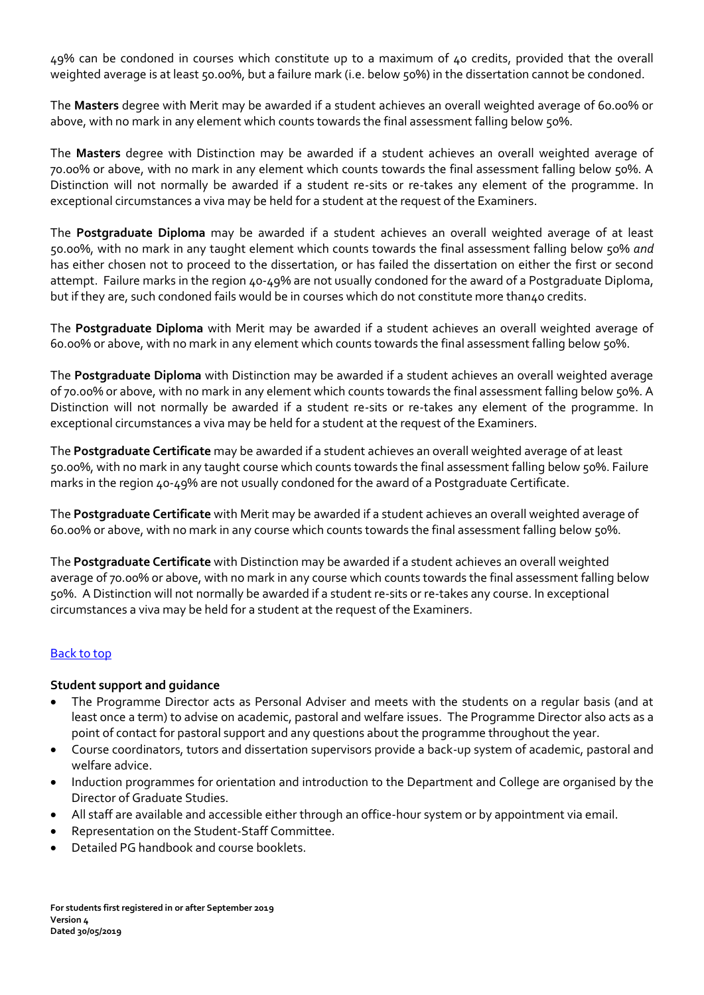49% can be condoned in courses which constitute up to a maximum of 40 credits, provided that the overall weighted average is at least 50.00%, but a failure mark (i.e. below 50%) in the dissertation cannot be condoned.

The **Masters** degree with Merit may be awarded if a student achieves an overall weighted average of 60.00% or above, with no mark in any element which counts towards the final assessment falling below 50%.

The **Masters** degree with Distinction may be awarded if a student achieves an overall weighted average of 70.00% or above, with no mark in any element which counts towards the final assessment falling below 50%. A Distinction will not normally be awarded if a student re-sits or re-takes any element of the programme. In exceptional circumstances a viva may be held for a student at the request of the Examiners.

The **Postgraduate Diploma** may be awarded if a student achieves an overall weighted average of at least 50.00%, with no mark in any taught element which counts towards the final assessment falling below 50% *and* has either chosen not to proceed to the dissertation, or has failed the dissertation on either the first or second attempt. Failure marks in the region 40-49% are not usually condoned for the award of a Postgraduate Diploma, but if they are, such condoned fails would be in courses which do not constitute more than40 credits.

The **Postgraduate Diploma** with Merit may be awarded if a student achieves an overall weighted average of 60.00% or above, with no mark in any element which counts towards the final assessment falling below 50%.

The **Postgraduate Diploma** with Distinction may be awarded if a student achieves an overall weighted average of 70.00% or above, with no mark in any element which counts towards the final assessment falling below 50%. A Distinction will not normally be awarded if a student re-sits or re-takes any element of the programme. In exceptional circumstances a viva may be held for a student at the request of the Examiners.

The **Postgraduate Certificate** may be awarded if a student achieves an overall weighted average of at least 50.00%, with no mark in any taught course which counts towards the final assessment falling below 50%. Failure marks in the region 40-49% are not usually condoned for the award of a Postgraduate Certificate.

The **Postgraduate Certificate** with Merit may be awarded if a student achieves an overall weighted average of 60.00% or above, with no mark in any course which counts towards the final assessment falling below 50%.

The **Postgraduate Certificate** with Distinction may be awarded if a student achieves an overall weighted average of 70.00% or above, with no mark in any course which counts towards the final assessment falling below 50%. A Distinction will not normally be awarded if a student re-sits or re-takes any course. In exceptional circumstances a viva may be held for a student at the request of the Examiners.

# [Back to top](#page-0-0)

#### <span id="page-3-0"></span>**Student support and guidance**

- The Programme Director acts as Personal Adviser and meets with the students on a regular basis (and at least once a term) to advise on academic, pastoral and welfare issues. The Programme Director also acts as a point of contact for pastoral support and any questions about the programme throughout the year.
- Course coordinators, tutors and dissertation supervisors provide a back-up system of academic, pastoral and welfare advice.
- Induction programmes for orientation and introduction to the Department and College are organised by the Director of Graduate Studies.
- All staff are available and accessible either through an office-hour system or by appointment via email.
- Representation on the Student-Staff Committee.
- Detailed PG handbook and course booklets.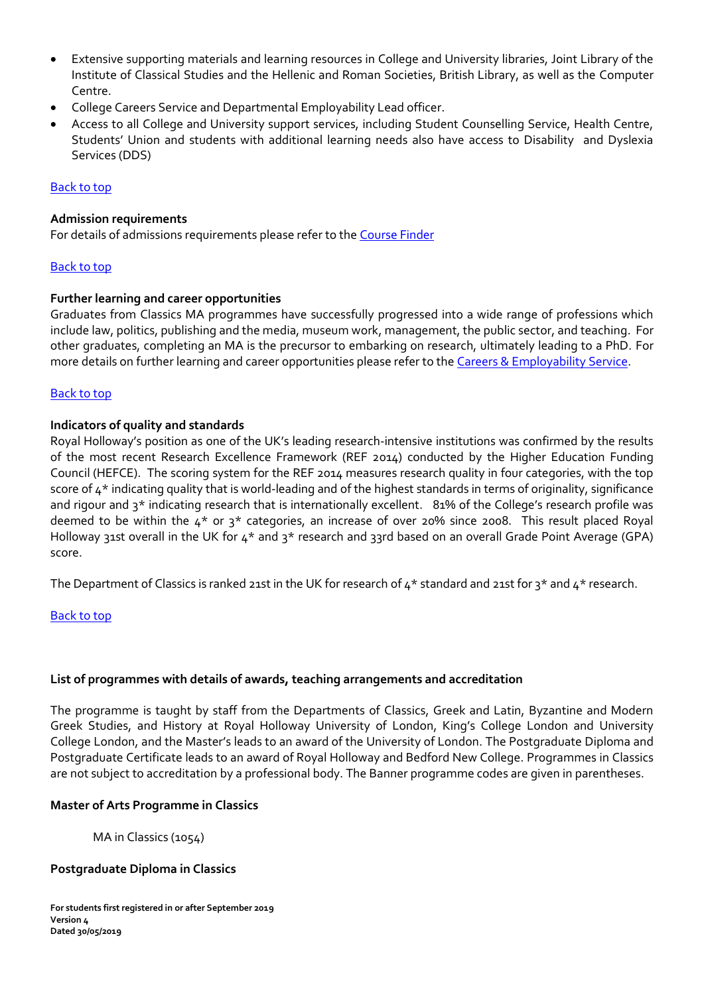- Extensive supporting materials and learning resources in College and University libraries, Joint Library of the Institute of Classical Studies and the Hellenic and Roman Societies, British Library, as well as the Computer Centre.
- College Careers Service and Departmental Employability Lead officer.
- Access to all College and University support services, including Student Counselling Service, Health Centre, Students' Union and students with additional learning needs also have access to Disability and Dyslexia Services (DDS)

# [Back to top](#page-0-0)

## <span id="page-4-0"></span>**Admission requirements**

For details of admissions requirements please refer to th[e Course Finder](https://www.royalholloway.ac.uk/classics/coursefinder/maclassics.aspx)

## <span id="page-4-1"></span>[Back to top](#page-0-0)

## **Further learning and career opportunities**

Graduates from Classics MA programmes have successfully progressed into a wide range of professions which include law, politics, publishing and the media, museum work, management, the public sector, and teaching. For other graduates, completing an MA is the precursor to embarking on research, ultimately leading to a PhD. For more details on further learning and career opportunities please refer to the Careers [& Employability](http://www.rhul.ac.uk/careers/) Service.

## [Back to top](#page-0-0)

## <span id="page-4-2"></span>**Indicators of quality and standards**

Royal Holloway's position as one of the UK's leading research-intensive institutions was confirmed by the results of the most recent Research Excellence Framework (REF 2014) conducted by the Higher Education Funding Council (HEFCE). The scoring system for the REF 2014 measures research quality in four categories, with the top score of  $4^*$  indicating quality that is world-leading and of the highest standards in terms of originality, significance and rigour and 3<sup>\*</sup> indicating research that is internationally excellent. 81% of the College's research profile was deemed to be within the  $4*$  or  $3*$  categories, an increase of over 20% since 2008. This result placed Royal Holloway 31st overall in the UK for 4\* and 3\* research and 33rd based on an overall Grade Point Average (GPA) score.

The Department of Classics is ranked 21st in the UK for research of  $4*$  standard and 21st for  $3*$  and  $4*$  research.

#### [Back to top](#page-0-0)

#### <span id="page-4-3"></span>**List of programmes with details of awards, teaching arrangements and accreditation**

The programme is taught by staff from the Departments of Classics, Greek and Latin, Byzantine and Modern Greek Studies, and History at Royal Holloway University of London, King's College London and University College London, and the Master's leads to an award of the University of London. The Postgraduate Diploma and Postgraduate Certificate leads to an award of Royal Holloway and Bedford New College. Programmes in Classics are not subject to accreditation by a professional body. The Banner programme codes are given in parentheses.

# **Master of Arts Programme in Classics**

MA in Classics (1054)

# **Postgraduate Diploma in Classics**

**For students first registered in or after September 2019 Version 4 Dated 30/05/2019**